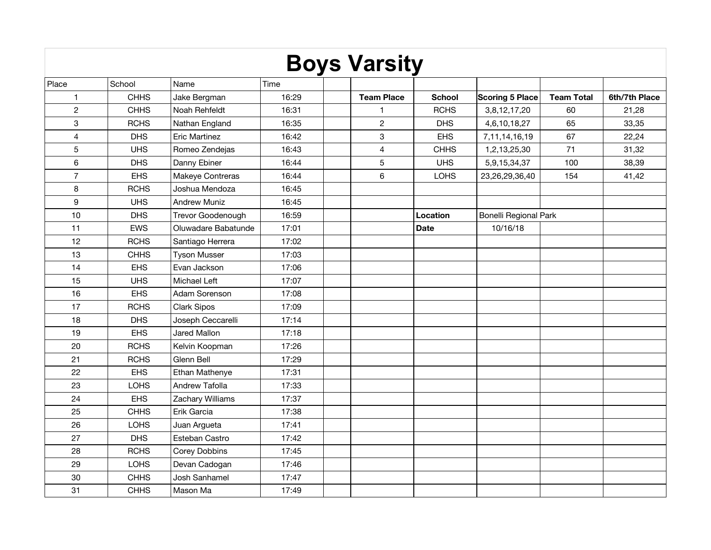| <b>Boys Varsity</b> |             |                      |       |  |                   |               |                              |                   |               |  |  |  |
|---------------------|-------------|----------------------|-------|--|-------------------|---------------|------------------------------|-------------------|---------------|--|--|--|
| Place               | School      | Name                 | Time  |  |                   |               |                              |                   |               |  |  |  |
| $\mathbf{1}$        | <b>CHHS</b> | Jake Bergman         | 16:29 |  | <b>Team Place</b> | <b>School</b> | Scoring 5 Place              | <b>Team Total</b> | 6th/7th Place |  |  |  |
| $\overline{c}$      | <b>CHHS</b> | Noah Rehfeldt        | 16:31 |  | $\mathbf{1}$      | <b>RCHS</b>   | 3,8,12,17,20                 | 60                | 21,28         |  |  |  |
| 3                   | <b>RCHS</b> | Nathan England       | 16:35 |  | $\overline{2}$    | <b>DHS</b>    | 4,6,10,18,27                 | 65                | 33,35         |  |  |  |
| $\overline{4}$      | <b>DHS</b>  | <b>Eric Martinez</b> | 16:42 |  | 3                 | <b>EHS</b>    | 7, 11, 14, 16, 19            | 67                | 22,24         |  |  |  |
| 5                   | <b>UHS</b>  | Romeo Zendejas       | 16:43 |  | 4                 | <b>CHHS</b>   | 1,2,13,25,30                 | 71                | 31,32         |  |  |  |
| 6                   | <b>DHS</b>  | Danny Ebiner         | 16:44 |  | 5                 | <b>UHS</b>    | 5,9,15,34,37                 | 100               | 38,39         |  |  |  |
| $\overline{7}$      | <b>EHS</b>  | Makeye Contreras     | 16:44 |  | 6                 | <b>LOHS</b>   | 23,26,29,36,40               | 154               | 41,42         |  |  |  |
| 8                   | <b>RCHS</b> | Joshua Mendoza       | 16:45 |  |                   |               |                              |                   |               |  |  |  |
| 9                   | <b>UHS</b>  | <b>Andrew Muniz</b>  | 16:45 |  |                   |               |                              |                   |               |  |  |  |
| 10                  | <b>DHS</b>  | Trevor Goodenough    | 16:59 |  |                   | Location      | <b>Bonelli Regional Park</b> |                   |               |  |  |  |
| 11                  | <b>EWS</b>  | Oluwadare Babatunde  | 17:01 |  |                   | <b>Date</b>   | 10/16/18                     |                   |               |  |  |  |
| 12                  | <b>RCHS</b> | Santiago Herrera     | 17:02 |  |                   |               |                              |                   |               |  |  |  |
| 13                  | <b>CHHS</b> | <b>Tyson Musser</b>  | 17:03 |  |                   |               |                              |                   |               |  |  |  |
| 14                  | <b>EHS</b>  | Evan Jackson         | 17:06 |  |                   |               |                              |                   |               |  |  |  |
| 15                  | <b>UHS</b>  | Michael Left         | 17:07 |  |                   |               |                              |                   |               |  |  |  |
| 16                  | <b>EHS</b>  | Adam Sorenson        | 17:08 |  |                   |               |                              |                   |               |  |  |  |
| 17                  | <b>RCHS</b> | <b>Clark Sipos</b>   | 17:09 |  |                   |               |                              |                   |               |  |  |  |
| 18                  | <b>DHS</b>  | Joseph Ceccarelli    | 17:14 |  |                   |               |                              |                   |               |  |  |  |
| 19                  | <b>EHS</b>  | Jared Mallon         | 17:18 |  |                   |               |                              |                   |               |  |  |  |
| 20                  | <b>RCHS</b> | Kelvin Koopman       | 17:26 |  |                   |               |                              |                   |               |  |  |  |
| 21                  | <b>RCHS</b> | Glenn Bell           | 17:29 |  |                   |               |                              |                   |               |  |  |  |
| 22                  | <b>EHS</b>  | Ethan Mathenye       | 17:31 |  |                   |               |                              |                   |               |  |  |  |
| 23                  | <b>LOHS</b> | Andrew Tafolla       | 17:33 |  |                   |               |                              |                   |               |  |  |  |
| 24                  | <b>EHS</b>  | Zachary Williams     | 17:37 |  |                   |               |                              |                   |               |  |  |  |
| 25                  | <b>CHHS</b> | Erik Garcia          | 17:38 |  |                   |               |                              |                   |               |  |  |  |
| 26                  | <b>LOHS</b> | Juan Argueta         | 17:41 |  |                   |               |                              |                   |               |  |  |  |
| 27                  | <b>DHS</b>  | Esteban Castro       | 17:42 |  |                   |               |                              |                   |               |  |  |  |
| 28                  | <b>RCHS</b> | Corey Dobbins        | 17:45 |  |                   |               |                              |                   |               |  |  |  |
| 29                  | <b>LOHS</b> | Devan Cadogan        | 17:46 |  |                   |               |                              |                   |               |  |  |  |
| 30                  | <b>CHHS</b> | Josh Sanhamel        | 17:47 |  |                   |               |                              |                   |               |  |  |  |
| 31                  | <b>CHHS</b> | Mason Ma             | 17:49 |  |                   |               |                              |                   |               |  |  |  |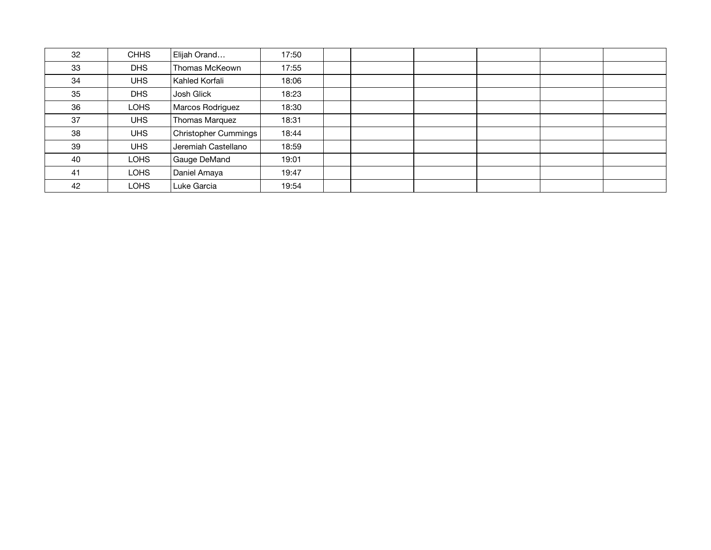| 32 | <b>CHHS</b> | Elijah Orand            | 17:50 |  |  |  |
|----|-------------|-------------------------|-------|--|--|--|
| 33 | <b>DHS</b>  | Thomas McKeown          | 17:55 |  |  |  |
| 34 | <b>UHS</b>  | Kahled Korfali          | 18:06 |  |  |  |
| 35 | <b>DHS</b>  | Josh Glick              | 18:23 |  |  |  |
| 36 | <b>LOHS</b> | <b>Marcos Rodriguez</b> | 18:30 |  |  |  |
| 37 | <b>UHS</b>  | Thomas Marquez          | 18:31 |  |  |  |
| 38 | <b>UHS</b>  | Christopher Cummings    | 18:44 |  |  |  |
| 39 | <b>UHS</b>  | Jeremiah Castellano     | 18:59 |  |  |  |
| 40 | <b>LOHS</b> | Gauge DeMand            | 19:01 |  |  |  |
| 41 | <b>LOHS</b> | Daniel Amaya            | 19:47 |  |  |  |
| 42 | <b>LOHS</b> | Luke Garcia             | 19:54 |  |  |  |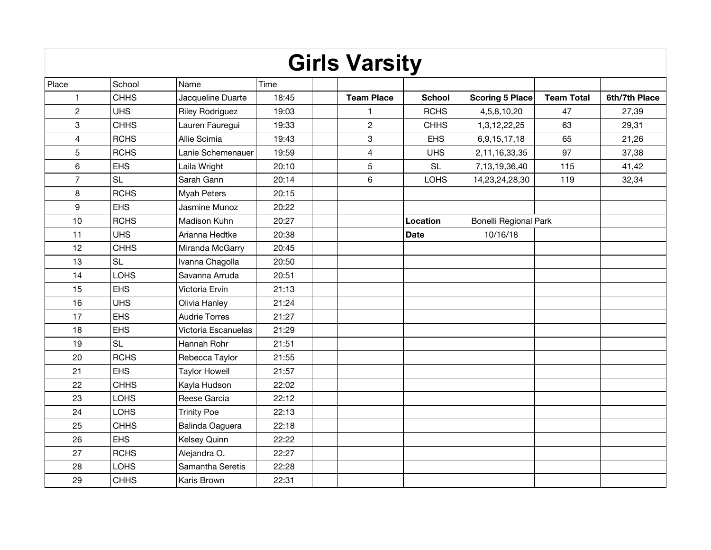| <b>Girls Varsity</b> |             |                        |       |  |                   |               |                              |                   |               |  |  |  |  |
|----------------------|-------------|------------------------|-------|--|-------------------|---------------|------------------------------|-------------------|---------------|--|--|--|--|
| Place                | School      | Name                   | Time  |  |                   |               |                              |                   |               |  |  |  |  |
| 1                    | <b>CHHS</b> | Jacqueline Duarte      | 18:45 |  | <b>Team Place</b> | <b>School</b> | <b>Scoring 5 Place</b>       | <b>Team Total</b> | 6th/7th Place |  |  |  |  |
| $\overline{2}$       | <b>UHS</b>  | <b>Riley Rodriguez</b> | 19:03 |  | 1                 | <b>RCHS</b>   | 4,5,8,10,20                  | 47                | 27,39         |  |  |  |  |
| 3                    | <b>CHHS</b> | Lauren Fauregui        | 19:33 |  | $\overline{c}$    | <b>CHHS</b>   | 1, 3, 12, 22, 25             | 63                | 29,31         |  |  |  |  |
| 4                    | <b>RCHS</b> | Allie Scimia           | 19:43 |  | 3                 | <b>EHS</b>    | 6,9,15,17,18                 | 65                | 21,26         |  |  |  |  |
| 5                    | <b>RCHS</b> | Lanie Schemenauer      | 19:59 |  | $\overline{4}$    | <b>UHS</b>    | 2,11,16,33,35                | 97                | 37,38         |  |  |  |  |
| 6                    | <b>EHS</b>  | Laila Wright           | 20:10 |  | 5                 | <b>SL</b>     | 7,13,19,36,40                | 115               | 41,42         |  |  |  |  |
| $\overline{7}$       | <b>SL</b>   | Sarah Gann             | 20:14 |  | 6                 | <b>LOHS</b>   | 14,23,24,28,30               | 119               | 32,34         |  |  |  |  |
| 8                    | <b>RCHS</b> | Myah Peters            | 20:15 |  |                   |               |                              |                   |               |  |  |  |  |
| 9                    | <b>EHS</b>  | Jasmine Munoz          | 20:22 |  |                   |               |                              |                   |               |  |  |  |  |
| 10                   | <b>RCHS</b> | Madison Kuhn           | 20:27 |  |                   | Location      | <b>Bonelli Regional Park</b> |                   |               |  |  |  |  |
| 11                   | <b>UHS</b>  | Arianna Hedtke         | 20:38 |  |                   | <b>Date</b>   | 10/16/18                     |                   |               |  |  |  |  |
| 12                   | <b>CHHS</b> | Miranda McGarry        | 20:45 |  |                   |               |                              |                   |               |  |  |  |  |
| 13                   | <b>SL</b>   | Ivanna Chagolla        | 20:50 |  |                   |               |                              |                   |               |  |  |  |  |
| 14                   | <b>LOHS</b> | Savanna Arruda         | 20:51 |  |                   |               |                              |                   |               |  |  |  |  |
| 15                   | <b>EHS</b>  | Victoria Ervin         | 21:13 |  |                   |               |                              |                   |               |  |  |  |  |
| 16                   | <b>UHS</b>  | Olivia Hanley          | 21:24 |  |                   |               |                              |                   |               |  |  |  |  |
| 17                   | <b>EHS</b>  | <b>Audrie Torres</b>   | 21:27 |  |                   |               |                              |                   |               |  |  |  |  |
| 18                   | <b>EHS</b>  | Victoria Escanuelas    | 21:29 |  |                   |               |                              |                   |               |  |  |  |  |
| 19                   | <b>SL</b>   | Hannah Rohr            | 21:51 |  |                   |               |                              |                   |               |  |  |  |  |
| 20                   | <b>RCHS</b> | Rebecca Taylor         | 21:55 |  |                   |               |                              |                   |               |  |  |  |  |
| 21                   | <b>EHS</b>  | <b>Taylor Howell</b>   | 21:57 |  |                   |               |                              |                   |               |  |  |  |  |
| 22                   | <b>CHHS</b> | Kayla Hudson           | 22:02 |  |                   |               |                              |                   |               |  |  |  |  |
| 23                   | <b>LOHS</b> | Reese Garcia           | 22:12 |  |                   |               |                              |                   |               |  |  |  |  |
| 24                   | <b>LOHS</b> | <b>Trinity Poe</b>     | 22:13 |  |                   |               |                              |                   |               |  |  |  |  |
| 25                   | <b>CHHS</b> | Balinda Oaguera        | 22:18 |  |                   |               |                              |                   |               |  |  |  |  |
| 26                   | <b>EHS</b>  | Kelsey Quinn           | 22:22 |  |                   |               |                              |                   |               |  |  |  |  |
| 27                   | <b>RCHS</b> | Alejandra O.           | 22:27 |  |                   |               |                              |                   |               |  |  |  |  |
| 28                   | <b>LOHS</b> | Samantha Seretis       | 22:28 |  |                   |               |                              |                   |               |  |  |  |  |
| 29                   | <b>CHHS</b> | Karis Brown            | 22:31 |  |                   |               |                              |                   |               |  |  |  |  |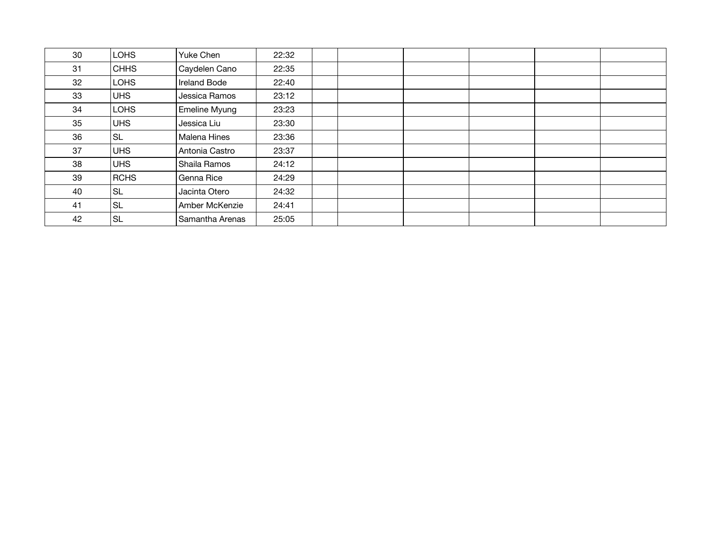| 30 | <b>LOHS</b> | Yuke Chen           | 22:32 |  |  |  |
|----|-------------|---------------------|-------|--|--|--|
| 31 | <b>CHHS</b> | Caydelen Cano       | 22:35 |  |  |  |
| 32 | <b>LOHS</b> | <b>Ireland Bode</b> | 22:40 |  |  |  |
| 33 | <b>UHS</b>  | Jessica Ramos       | 23:12 |  |  |  |
| 34 | <b>LOHS</b> | Emeline Myung       | 23:23 |  |  |  |
| 35 | <b>UHS</b>  | Jessica Liu         | 23:30 |  |  |  |
| 36 | <b>SL</b>   | Malena Hines        | 23:36 |  |  |  |
| 37 | <b>UHS</b>  | Antonia Castro      | 23:37 |  |  |  |
| 38 | <b>UHS</b>  | Shaila Ramos        | 24:12 |  |  |  |
| 39 | <b>RCHS</b> | Genna Rice          | 24:29 |  |  |  |
| 40 | SL          | Jacinta Otero       | 24:32 |  |  |  |
| 41 | <b>SL</b>   | Amber McKenzie      | 24:41 |  |  |  |
| 42 | <b>SL</b>   | Samantha Arenas     | 25:05 |  |  |  |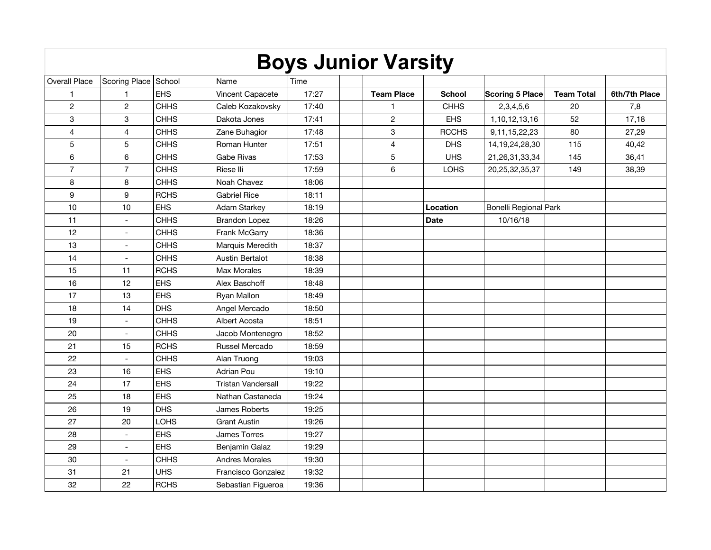|                | <b>Boys Junior Varsity</b> |             |                           |       |  |                   |               |                       |                   |               |  |  |  |  |
|----------------|----------------------------|-------------|---------------------------|-------|--|-------------------|---------------|-----------------------|-------------------|---------------|--|--|--|--|
| Overall Place  | Scoring Place School       |             | Name                      | Time  |  |                   |               |                       |                   |               |  |  |  |  |
| $\mathbf{1}$   | $\mathbf{1}$               | <b>EHS</b>  | Vincent Capacete          | 17:27 |  | <b>Team Place</b> | <b>School</b> | Scoring 5 Place       | <b>Team Total</b> | 6th/7th Place |  |  |  |  |
| $\overline{c}$ | $\overline{c}$             | <b>CHHS</b> | Caleb Kozakovsky          | 17:40 |  | $\mathbf{1}$      | <b>CHHS</b>   | 2,3,4,5,6             | 20                | 7,8           |  |  |  |  |
| 3              | 3                          | <b>CHHS</b> | Dakota Jones              | 17:41 |  | $\overline{2}$    | <b>EHS</b>    | 1,10,12,13,16         | 52                | 17,18         |  |  |  |  |
| 4              | 4                          | <b>CHHS</b> | Zane Buhagior             | 17:48 |  | 3                 | <b>RCCHS</b>  | 9, 11, 15, 22, 23     | 80                | 27,29         |  |  |  |  |
| 5              | 5                          | <b>CHHS</b> | Roman Hunter              | 17:51 |  | $\overline{4}$    | <b>DHS</b>    | 14, 19, 24, 28, 30    | 115               | 40,42         |  |  |  |  |
| 6              | 6                          | <b>CHHS</b> | Gabe Rivas                | 17:53 |  | 5                 | <b>UHS</b>    | 21, 26, 31, 33, 34    | 145               | 36,41         |  |  |  |  |
| $\overline{7}$ | $\overline{7}$             | <b>CHHS</b> | Riese Ili                 | 17:59 |  | 6                 | <b>LOHS</b>   | 20,25,32,35,37        | 149               | 38,39         |  |  |  |  |
| 8              | 8                          | <b>CHHS</b> | Noah Chavez               | 18:06 |  |                   |               |                       |                   |               |  |  |  |  |
| 9              | 9                          | <b>RCHS</b> | <b>Gabriel Rice</b>       | 18:11 |  |                   |               |                       |                   |               |  |  |  |  |
| 10             | 10                         | <b>EHS</b>  | Adam Starkey              | 18:19 |  |                   | Location      | Bonelli Regional Park |                   |               |  |  |  |  |
| 11             |                            | <b>CHHS</b> | <b>Brandon Lopez</b>      | 18:26 |  |                   | <b>Date</b>   | 10/16/18              |                   |               |  |  |  |  |
| 12             |                            | <b>CHHS</b> | Frank McGarry             | 18:36 |  |                   |               |                       |                   |               |  |  |  |  |
| 13             | $\overline{\phantom{a}}$   | <b>CHHS</b> | Marquis Meredith          | 18:37 |  |                   |               |                       |                   |               |  |  |  |  |
| 14             | $\overline{\phantom{a}}$   | <b>CHHS</b> | <b>Austin Bertalot</b>    | 18:38 |  |                   |               |                       |                   |               |  |  |  |  |
| 15             | 11                         | <b>RCHS</b> | Max Morales               | 18:39 |  |                   |               |                       |                   |               |  |  |  |  |
| 16             | 12                         | <b>EHS</b>  | Alex Baschoff             | 18:48 |  |                   |               |                       |                   |               |  |  |  |  |
| 17             | 13                         | <b>EHS</b>  | Ryan Mallon               | 18:49 |  |                   |               |                       |                   |               |  |  |  |  |
| 18             | 14                         | <b>DHS</b>  | Angel Mercado             | 18:50 |  |                   |               |                       |                   |               |  |  |  |  |
| 19             | $\blacksquare$             | <b>CHHS</b> | <b>Albert Acosta</b>      | 18:51 |  |                   |               |                       |                   |               |  |  |  |  |
| 20             |                            | <b>CHHS</b> | Jacob Montenegro          | 18:52 |  |                   |               |                       |                   |               |  |  |  |  |
| 21             | 15                         | <b>RCHS</b> | Russel Mercado            | 18:59 |  |                   |               |                       |                   |               |  |  |  |  |
| 22             | $\overline{\phantom{a}}$   | <b>CHHS</b> | Alan Truong               | 19:03 |  |                   |               |                       |                   |               |  |  |  |  |
| 23             | 16                         | <b>EHS</b>  | Adrian Pou                | 19:10 |  |                   |               |                       |                   |               |  |  |  |  |
| 24             | 17                         | <b>EHS</b>  | <b>Tristan Vandersall</b> | 19:22 |  |                   |               |                       |                   |               |  |  |  |  |
| 25             | 18                         | <b>EHS</b>  | Nathan Castaneda          | 19:24 |  |                   |               |                       |                   |               |  |  |  |  |
| 26             | 19                         | <b>DHS</b>  | James Roberts             | 19:25 |  |                   |               |                       |                   |               |  |  |  |  |
| 27             | 20                         | <b>LOHS</b> | Grant Austin              | 19:26 |  |                   |               |                       |                   |               |  |  |  |  |
| 28             |                            | <b>EHS</b>  | James Torres              | 19:27 |  |                   |               |                       |                   |               |  |  |  |  |
| 29             | $\overline{\phantom{a}}$   | <b>EHS</b>  | Benjamin Galaz            | 19:29 |  |                   |               |                       |                   |               |  |  |  |  |
| 30             | $\overline{\phantom{a}}$   | <b>CHHS</b> | <b>Andres Morales</b>     | 19:30 |  |                   |               |                       |                   |               |  |  |  |  |
| 31             | 21                         | <b>UHS</b>  | Francisco Gonzalez        | 19:32 |  |                   |               |                       |                   |               |  |  |  |  |
| 32             | 22                         | <b>RCHS</b> | Sebastian Figueroa        | 19:36 |  |                   |               |                       |                   |               |  |  |  |  |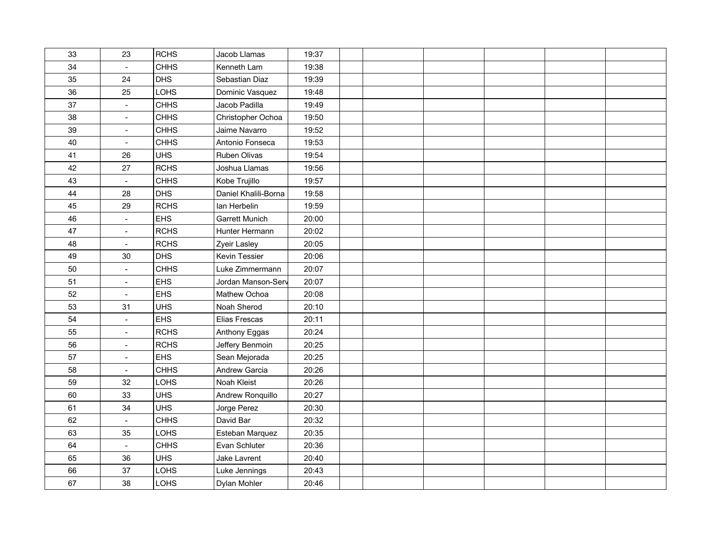| 33 | 23                       | <b>RCHS</b> | Jacob Llamas          | 19:37 |  |  |  |
|----|--------------------------|-------------|-----------------------|-------|--|--|--|
| 34 | $\overline{\phantom{a}}$ | <b>CHHS</b> | Kenneth Lam           | 19:38 |  |  |  |
| 35 | 24                       | <b>DHS</b>  | Sebastian Diaz        | 19:39 |  |  |  |
| 36 | 25                       | <b>LOHS</b> | Dominic Vasquez       | 19:48 |  |  |  |
| 37 | $\overline{\phantom{a}}$ | <b>CHHS</b> | Jacob Padilla         | 19:49 |  |  |  |
| 38 | $\overline{\phantom{a}}$ | <b>CHHS</b> | Christopher Ochoa     | 19:50 |  |  |  |
| 39 | $\overline{a}$           | <b>CHHS</b> | Jaime Navarro         | 19:52 |  |  |  |
| 40 | $\overline{\phantom{a}}$ | <b>CHHS</b> | Antonio Fonseca       | 19:53 |  |  |  |
| 41 | 26                       | <b>UHS</b>  | Ruben Olivas          | 19:54 |  |  |  |
| 42 | 27                       | <b>RCHS</b> | Joshua Llamas         | 19:56 |  |  |  |
| 43 | $\mathbf{u}$             | <b>CHHS</b> | Kobe Trujillo         | 19:57 |  |  |  |
| 44 | 28                       | <b>DHS</b>  | Daniel Khalili-Borna  | 19:58 |  |  |  |
| 45 | 29                       | <b>RCHS</b> | lan Herbelin          | 19:59 |  |  |  |
| 46 | $\blacksquare$           | <b>EHS</b>  | <b>Garrett Munich</b> | 20:00 |  |  |  |
| 47 | $\overline{a}$           | <b>RCHS</b> | Hunter Hermann        | 20:02 |  |  |  |
| 48 | $\blacksquare$           | <b>RCHS</b> | Zyeir Lasley          | 20:05 |  |  |  |
| 49 | 30                       | <b>DHS</b>  | Kevin Tessier         | 20:06 |  |  |  |
| 50 | $\mathbf{r}$             | <b>CHHS</b> | Luke Zimmermann       | 20:07 |  |  |  |
| 51 | $\blacksquare$           | <b>EHS</b>  | Jordan Manson-Serv    | 20:07 |  |  |  |
| 52 | $\blacksquare$           | <b>EHS</b>  | Mathew Ochoa          | 20:08 |  |  |  |
| 53 | 31                       | <b>UHS</b>  | Noah Sherod           | 20:10 |  |  |  |
| 54 | $\overline{a}$           | <b>EHS</b>  | Elias Frescas         | 20:11 |  |  |  |
| 55 | $\blacksquare$           | <b>RCHS</b> | Anthony Eggas         | 20:24 |  |  |  |
| 56 | $\blacksquare$           | <b>RCHS</b> | Jeffery Benmoin       | 20:25 |  |  |  |
| 57 | $\blacksquare$           | <b>EHS</b>  | Sean Mejorada         | 20:25 |  |  |  |
| 58 | $\blacksquare$           | <b>CHHS</b> | Andrew Garcia         | 20:26 |  |  |  |
| 59 | 32                       | LOHS        | Noah Kleist           | 20:26 |  |  |  |
| 60 | 33                       | <b>UHS</b>  | Andrew Ronquillo      | 20:27 |  |  |  |
| 61 | 34                       | <b>UHS</b>  | Jorge Perez           | 20:30 |  |  |  |
| 62 |                          | <b>CHHS</b> | David Bar             | 20:32 |  |  |  |
| 63 | 35                       | LOHS        | Esteban Marquez       | 20:35 |  |  |  |
| 64 | $\blacksquare$           | <b>CHHS</b> | Evan Schluter         | 20:36 |  |  |  |
| 65 | 36                       | <b>UHS</b>  | Jake Lavrent          | 20:40 |  |  |  |
| 66 | 37                       | LOHS        | Luke Jennings         | 20:43 |  |  |  |
| 67 | 38                       | LOHS        | Dylan Mohler          | 20:46 |  |  |  |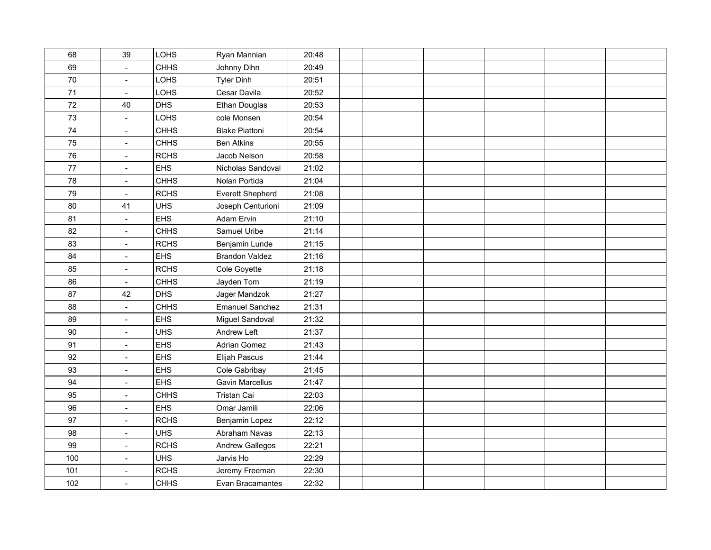| 68  | 39             | <b>LOHS</b> | Ryan Mannian            | 20:48 |  |  |  |
|-----|----------------|-------------|-------------------------|-------|--|--|--|
| 69  | $\blacksquare$ | <b>CHHS</b> | Johnny Dihn             | 20:49 |  |  |  |
| 70  | $\blacksquare$ | LOHS        | <b>Tyler Dinh</b>       | 20:51 |  |  |  |
| 71  | $\blacksquare$ | LOHS        | Cesar Davila            | 20:52 |  |  |  |
| 72  | 40             | <b>DHS</b>  | Ethan Douglas           | 20:53 |  |  |  |
| 73  | $\blacksquare$ | LOHS        | cole Monsen             | 20:54 |  |  |  |
| 74  | $\overline{a}$ | <b>CHHS</b> | <b>Blake Piattoni</b>   | 20:54 |  |  |  |
| 75  | $\blacksquare$ | <b>CHHS</b> | <b>Ben Atkins</b>       | 20:55 |  |  |  |
| 76  | $\blacksquare$ | <b>RCHS</b> | Jacob Nelson            | 20:58 |  |  |  |
| 77  | $\blacksquare$ | <b>EHS</b>  | Nicholas Sandoval       | 21:02 |  |  |  |
| 78  | $\blacksquare$ | <b>CHHS</b> | Nolan Portida           | 21:04 |  |  |  |
| 79  |                | <b>RCHS</b> | <b>Everett Shepherd</b> | 21:08 |  |  |  |
| 80  | 41             | <b>UHS</b>  | Joseph Centurioni       | 21:09 |  |  |  |
| 81  | $\blacksquare$ | <b>EHS</b>  | Adam Ervin              | 21:10 |  |  |  |
| 82  | $\overline{a}$ | <b>CHHS</b> | Samuel Uribe            | 21:14 |  |  |  |
| 83  | $\blacksquare$ | <b>RCHS</b> | Benjamin Lunde          | 21:15 |  |  |  |
| 84  | $\blacksquare$ | <b>EHS</b>  | <b>Brandon Valdez</b>   | 21:16 |  |  |  |
| 85  | $\blacksquare$ | <b>RCHS</b> | Cole Goyette            | 21:18 |  |  |  |
| 86  | $\blacksquare$ | <b>CHHS</b> | Jayden Tom              | 21:19 |  |  |  |
| 87  | 42             | <b>DHS</b>  | Jager Mandzok           | 21:27 |  |  |  |
| 88  | $\blacksquare$ | <b>CHHS</b> | <b>Emanuel Sanchez</b>  | 21:31 |  |  |  |
| 89  | $\overline{a}$ | <b>EHS</b>  | Miguel Sandoval         | 21:32 |  |  |  |
| 90  | $\blacksquare$ | <b>UHS</b>  | Andrew Left             | 21:37 |  |  |  |
| 91  | $\blacksquare$ | <b>EHS</b>  | <b>Adrian Gomez</b>     | 21:43 |  |  |  |
| 92  | $\blacksquare$ | <b>EHS</b>  | Elijah Pascus           | 21:44 |  |  |  |
| 93  | $\blacksquare$ | <b>EHS</b>  | Cole Gabribay           | 21:45 |  |  |  |
| 94  | $\blacksquare$ | <b>EHS</b>  | Gavin Marcellus         | 21:47 |  |  |  |
| 95  | $\blacksquare$ | <b>CHHS</b> | Tristan Cai             | 22:03 |  |  |  |
| 96  | $\blacksquare$ | <b>EHS</b>  | Omar Jamili             | 22:06 |  |  |  |
| 97  | $\blacksquare$ | <b>RCHS</b> | Benjamin Lopez          | 22:12 |  |  |  |
| 98  | $\blacksquare$ | <b>UHS</b>  | Abraham Navas           | 22:13 |  |  |  |
| 99  | $\sim$         | <b>RCHS</b> | Andrew Gallegos         | 22:21 |  |  |  |
| 100 | $\blacksquare$ | <b>UHS</b>  | Jarvis Ho               | 22:29 |  |  |  |
| 101 | $\blacksquare$ | <b>RCHS</b> | Jeremy Freeman          | 22:30 |  |  |  |
| 102 | $\mathbf{r}$   | <b>CHHS</b> | Evan Bracamantes        | 22:32 |  |  |  |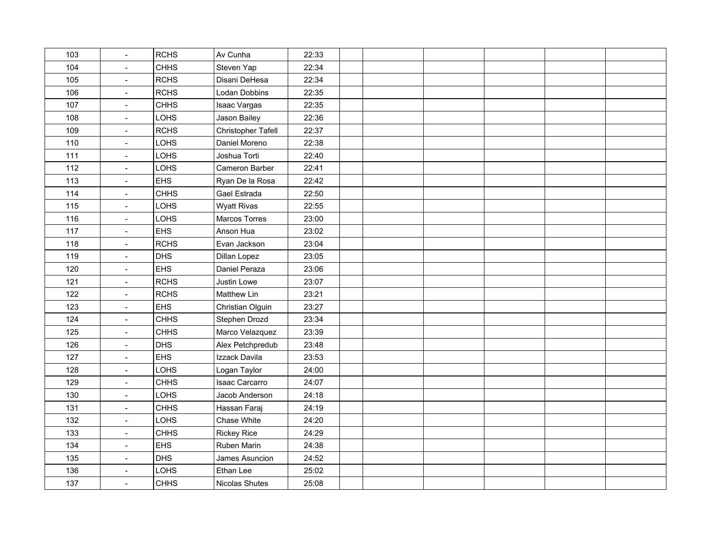| 103 | $\blacksquare$            | <b>RCHS</b> | Av Cunha            | 22:33 |  |  |  |
|-----|---------------------------|-------------|---------------------|-------|--|--|--|
| 104 | $\blacksquare$            | <b>CHHS</b> | Steven Yap          | 22:34 |  |  |  |
| 105 | $\blacksquare$            | <b>RCHS</b> | Disani DeHesa       | 22:34 |  |  |  |
| 106 | $\blacksquare$            | <b>RCHS</b> | Lodan Dobbins       | 22:35 |  |  |  |
| 107 | $\blacksquare$            | <b>CHHS</b> | <b>Isaac Vargas</b> | 22:35 |  |  |  |
| 108 | $\blacksquare$            | LOHS        | Jason Bailey        | 22:36 |  |  |  |
| 109 | $\blacksquare$            | <b>RCHS</b> | Christopher Tafell  | 22:37 |  |  |  |
| 110 | $\blacksquare$            | LOHS        | Daniel Moreno       | 22:38 |  |  |  |
| 111 | $\sim$                    | <b>LOHS</b> | Joshua Torti        | 22:40 |  |  |  |
| 112 | $\omega$                  | <b>LOHS</b> | Cameron Barber      | 22:41 |  |  |  |
| 113 | $\mathbb{L}^{\mathbb{N}}$ | <b>EHS</b>  | Ryan De la Rosa     | 22:42 |  |  |  |
| 114 | $\blacksquare$            | <b>CHHS</b> | Gael Estrada        | 22:50 |  |  |  |
| 115 | $\blacksquare$            | <b>LOHS</b> | <b>Wyatt Rivas</b>  | 22:55 |  |  |  |
| 116 | $\blacksquare$            | <b>LOHS</b> | Marcos Torres       | 23:00 |  |  |  |
| 117 | $\blacksquare$            | EHS         | Anson Hua           | 23:02 |  |  |  |
| 118 | $\blacksquare$            | <b>RCHS</b> | Evan Jackson        | 23:04 |  |  |  |
| 119 | $\sim$                    | <b>DHS</b>  | Dillan Lopez        | 23:05 |  |  |  |
| 120 | $\blacksquare$            | <b>EHS</b>  | Daniel Peraza       | 23:06 |  |  |  |
| 121 | $\blacksquare$            | <b>RCHS</b> | Justin Lowe         | 23:07 |  |  |  |
| 122 | $\blacksquare$            | <b>RCHS</b> | Matthew Lin         | 23:21 |  |  |  |
| 123 | $\mathbf{r}$              | <b>EHS</b>  | Christian Olguin    | 23:27 |  |  |  |
| 124 | $\mathbf{r}$              | <b>CHHS</b> | Stephen Drozd       | 23:34 |  |  |  |
| 125 | $\blacksquare$            | <b>CHHS</b> | Marco Velazquez     | 23:39 |  |  |  |
| 126 | $\blacksquare$            | <b>DHS</b>  | Alex Petchpredub    | 23:48 |  |  |  |
| 127 | $\blacksquare$            | <b>EHS</b>  | Izzack Davila       | 23:53 |  |  |  |
| 128 | $\blacksquare$            | LOHS        | Logan Taylor        | 24:00 |  |  |  |
| 129 | $\blacksquare$            | <b>CHHS</b> | Isaac Carcarro      | 24:07 |  |  |  |
| 130 | $\mathbf{r}$              | LOHS        | Jacob Anderson      | 24:18 |  |  |  |
| 131 | $\overline{a}$            | <b>CHHS</b> | Hassan Faraj        | 24:19 |  |  |  |
| 132 | $\blacksquare$            | LOHS        | Chase White         | 24:20 |  |  |  |
| 133 | $\blacksquare$            | <b>CHHS</b> | <b>Rickey Rice</b>  | 24:29 |  |  |  |
| 134 | $\sim$                    | <b>EHS</b>  | Ruben Marin         | 24:38 |  |  |  |
| 135 | $\blacksquare$            | <b>DHS</b>  | James Asuncion      | 24:52 |  |  |  |
| 136 | $\blacksquare$            | LOHS        | Ethan Lee           | 25:02 |  |  |  |
| 137 | $\overline{a}$            | <b>CHHS</b> | Nicolas Shutes      | 25:08 |  |  |  |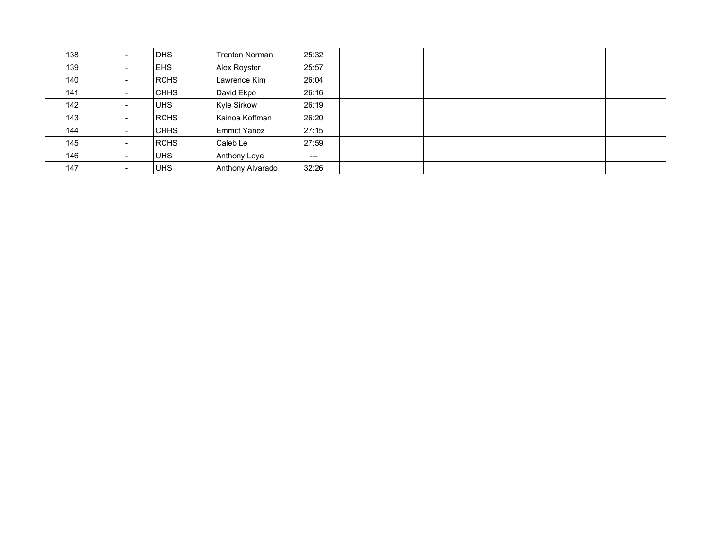| 138 |        | <b>DHS</b>  | Trenton Norman      | 25:32 |  |  |  |
|-----|--------|-------------|---------------------|-------|--|--|--|
| 139 |        | <b>EHS</b>  | Alex Royster        | 25:57 |  |  |  |
| 140 | $\sim$ | <b>RCHS</b> | Lawrence Kim        | 26:04 |  |  |  |
| 141 | $\sim$ | <b>CHHS</b> | David Ekpo          | 26:16 |  |  |  |
| 142 | $\sim$ | <b>UHS</b>  | Kyle Sirkow         | 26:19 |  |  |  |
| 143 | $\sim$ | <b>RCHS</b> | Kainoa Koffman      | 26:20 |  |  |  |
| 144 | $\sim$ | <b>CHHS</b> | <b>Emmitt Yanez</b> | 27:15 |  |  |  |
| 145 | $\sim$ | <b>RCHS</b> | Caleb Le            | 27:59 |  |  |  |
| 146 |        | <b>UHS</b>  | Anthony Loya        | $---$ |  |  |  |
| 147 | $\sim$ | <b>UHS</b>  | Anthony Alvarado    | 32:26 |  |  |  |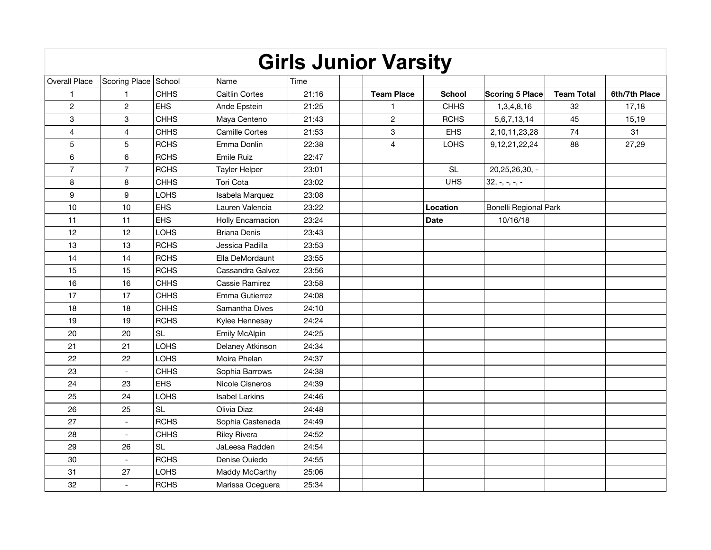|                      |                          |             |                        |       | <b>Girls Junior Varsity</b> |               |                       |                   |               |
|----------------------|--------------------------|-------------|------------------------|-------|-----------------------------|---------------|-----------------------|-------------------|---------------|
| <b>Overall Place</b> | Scoring Place School     |             | Name                   | Time  |                             |               |                       |                   |               |
| $\mathbf{1}$         | 1                        | <b>CHHS</b> | <b>Caitlin Cortes</b>  | 21:16 | <b>Team Place</b>           | <b>School</b> | Scoring 5 Place       | <b>Team Total</b> | 6th/7th Place |
| $\overline{c}$       | $\overline{2}$           | <b>EHS</b>  | Ande Epstein           | 21:25 |                             | <b>CHHS</b>   | 1,3,4,8,16            | 32                | 17,18         |
| 3                    | 3                        | <b>CHHS</b> | Maya Centeno           | 21:43 | $\overline{c}$              | <b>RCHS</b>   | 5,6,7,13,14           | 45                | 15,19         |
| 4                    | $\overline{4}$           | <b>CHHS</b> | <b>Camille Cortes</b>  | 21:53 | 3                           | <b>EHS</b>    | 2,10,11,23,28         | 74                | 31            |
| 5                    | 5                        | <b>RCHS</b> | Emma Donlin            | 22:38 | $\overline{4}$              | <b>LOHS</b>   | 9, 12, 21, 22, 24     | 88                | 27,29         |
| 6                    | 6                        | <b>RCHS</b> | Emile Ruiz             | 22:47 |                             |               |                       |                   |               |
| $\overline{7}$       | $\overline{7}$           | <b>RCHS</b> | <b>Tayler Helper</b>   | 23:01 |                             | <b>SL</b>     | 20,25,26,30, -        |                   |               |
| 8                    | 8                        | <b>CHHS</b> | <b>Tori Cota</b>       | 23:02 |                             | <b>UHS</b>    | $32, -, -, -, -$      |                   |               |
| $\boldsymbol{9}$     | 9                        | <b>LOHS</b> | <b>Isabela Marquez</b> | 23:08 |                             |               |                       |                   |               |
| 10                   | 10                       | <b>EHS</b>  | Lauren Valencia        | 23:22 |                             | Location      | Bonelli Regional Park |                   |               |
| 11                   | 11                       | <b>EHS</b>  | Holly Encarnacion      | 23:24 |                             | <b>Date</b>   | 10/16/18              |                   |               |
| 12                   | 12                       | <b>LOHS</b> | <b>Briana Denis</b>    | 23:43 |                             |               |                       |                   |               |
| 13                   | 13                       | <b>RCHS</b> | Jessica Padilla        | 23:53 |                             |               |                       |                   |               |
| 14                   | 14                       | <b>RCHS</b> | Ella DeMordaunt        | 23:55 |                             |               |                       |                   |               |
| 15                   | 15                       | <b>RCHS</b> | Cassandra Galvez       | 23:56 |                             |               |                       |                   |               |
| 16                   | 16                       | <b>CHHS</b> | Cassie Ramirez         | 23:58 |                             |               |                       |                   |               |
| 17                   | 17                       | <b>CHHS</b> | Emma Gutierrez         | 24:08 |                             |               |                       |                   |               |
| 18                   | 18                       | <b>CHHS</b> | Samantha Dives         | 24:10 |                             |               |                       |                   |               |
| 19                   | 19                       | <b>RCHS</b> | Kylee Hennesay         | 24:24 |                             |               |                       |                   |               |
| 20                   | 20                       | <b>SL</b>   | Emily McAlpin          | 24:25 |                             |               |                       |                   |               |
| 21                   | 21                       | <b>LOHS</b> | Delaney Atkinson       | 24:34 |                             |               |                       |                   |               |
| 22                   | 22                       | <b>LOHS</b> | Moira Phelan           | 24:37 |                             |               |                       |                   |               |
| 23                   | $\blacksquare$           | <b>CHHS</b> | Sophia Barrows         | 24:38 |                             |               |                       |                   |               |
| 24                   | 23                       | <b>EHS</b>  | Nicole Cisneros        | 24:39 |                             |               |                       |                   |               |
| 25                   | 24                       | <b>LOHS</b> | Isabel Larkins         | 24:46 |                             |               |                       |                   |               |
| 26                   | 25                       | <b>SL</b>   | Olivia Diaz            | 24:48 |                             |               |                       |                   |               |
| 27                   |                          | <b>RCHS</b> | Sophia Casteneda       | 24:49 |                             |               |                       |                   |               |
| 28                   |                          | <b>CHHS</b> | <b>Riley Rivera</b>    | 24:52 |                             |               |                       |                   |               |
| 29                   | 26                       | <b>SL</b>   | JaLeesa Radden         | 24:54 |                             |               |                       |                   |               |
| 30                   | $\overline{\phantom{a}}$ | <b>RCHS</b> | Denise Ouiedo          | 24:55 |                             |               |                       |                   |               |
| 31                   | 27                       | <b>LOHS</b> | Maddy McCarthy         | 25:06 |                             |               |                       |                   |               |
| 32                   | $\overline{a}$           | <b>RCHS</b> | Marissa Oceguera       | 25:34 |                             |               |                       |                   |               |